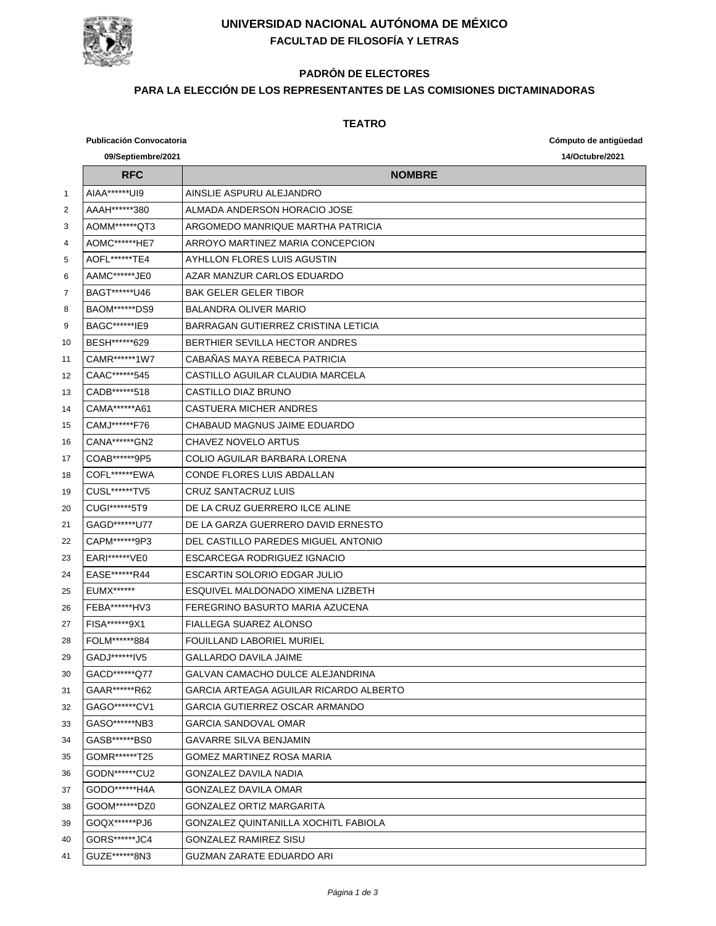

## **UNIVERSIDAD NACIONAL AUTÓNOMA DE MÉXICO FACULTAD DE FILOSOFÍA Y LETRAS**

# **PADRÓN DE ELECTORES**

### **PARA LA ELECCIÓN DE LOS REPRESENTANTES DE LAS COMISIONES DICTAMINADORAS**

#### **TEATRO**

|    | <b>Publicación Convocatoria</b> |                                        | Cómputo de antigüedad |
|----|---------------------------------|----------------------------------------|-----------------------|
|    | 09/Septiembre/2021              |                                        | 14/Octubre/2021       |
|    | <b>RFC</b>                      | <b>NOMBRE</b>                          |                       |
| 1  | AIAA******UI9                   | AINSLIE ASPURU ALEJANDRO               |                       |
| 2  | AAAH******380                   | ALMADA ANDERSON HORACIO JOSE           |                       |
| 3  | AOMM******QT3                   | ARGOMEDO MANRIQUE MARTHA PATRICIA      |                       |
| 4  | AOMC*******HE7                  | ARROYO MARTINEZ MARIA CONCEPCION       |                       |
| 5  | AOFL******TE4                   | AYHLLON FLORES LUIS AGUSTIN            |                       |
| 6  | AAMC*******JE0                  | AZAR MANZUR CARLOS EDUARDO             |                       |
| 7  | BAGT*******U46                  | <b>BAK GELER GELER TIBOR</b>           |                       |
| 8  | BAOM******DS9                   | <b>BALANDRA OLIVER MARIO</b>           |                       |
| 9  | BAGC******IE9                   | BARRAGAN GUTIERREZ CRISTINA LETICIA    |                       |
| 10 | BESH******629                   | BERTHIER SEVILLA HECTOR ANDRES         |                       |
| 11 | CAMR******1W7                   | CABAÑAS MAYA REBECA PATRICIA           |                       |
| 12 | CAAC******545                   | CASTILLO AGUILAR CLAUDIA MARCELA       |                       |
| 13 | CADB******518                   | CASTILLO DIAZ BRUNO                    |                       |
| 14 | CAMA******A61                   | CASTUERA MICHER ANDRES                 |                       |
| 15 | CAMJ******F76                   | CHABAUD MAGNUS JAIME EDUARDO           |                       |
| 16 | CANA******GN2                   | CHAVEZ NOVELO ARTUS                    |                       |
| 17 | COAB******9P5                   | COLIO AGUILAR BARBARA LORENA           |                       |
| 18 | COFL******EWA                   | CONDE FLORES LUIS ABDALLAN             |                       |
| 19 | CUSL*******TV5                  | CRUZ SANTACRUZ LUIS                    |                       |
| 20 | CUGI*******5T9                  | DE LA CRUZ GUERRERO ILCE ALINE         |                       |
| 21 | GAGD*******U77                  | DE LA GARZA GUERRERO DAVID ERNESTO     |                       |
| 22 | CAPM******9P3                   | DEL CASTILLO PAREDES MIGUEL ANTONIO    |                       |
| 23 | EARI******VE0                   | ESCARCEGA RODRIGUEZ IGNACIO            |                       |
| 24 | EASE*******R44                  | ESCARTIN SOLORIO EDGAR JULIO           |                       |
| 25 | <b>EUMX******</b>               | ESQUIVEL MALDONADO XIMENA LIZBETH      |                       |
| 26 | FEBA*******HV3                  | FEREGRINO BASURTO MARIA AZUCENA        |                       |
| 27 | FISA******9X1                   | FIALLEGA SUAREZ ALONSO                 |                       |
| 28 | FOLM******884                   | <b>FOUILLAND LABORIEL MURIEL</b>       |                       |
| 29 | GADJ ******IV5                  | GALLARDO DAVILA JAIME                  |                       |
| 30 | GACD******Q77                   | GALVAN CAMACHO DULCE ALEJANDRINA       |                       |
| 31 | GAAR******R62                   | GARCIA ARTEAGA AGUILAR RICARDO ALBERTO |                       |
| 32 | GAGO*******CV1                  | GARCIA GUTIERREZ OSCAR ARMANDO         |                       |
| 33 | GASO******NB3                   | GARCIA SANDOVAL OMAR                   |                       |
| 34 | GASB******BS0                   | GAVARRE SILVA BENJAMIN                 |                       |
| 35 | GOMR*******T25                  | GOMEZ MARTINEZ ROSA MARIA              |                       |
| 36 | GODN******CU2                   | GONZALEZ DAVILA NADIA                  |                       |
| 37 | GODO*******H4A                  | GONZALEZ DAVILA OMAR                   |                       |
| 38 | GOOM*******DZ0                  | GONZALEZ ORTIZ MARGARITA               |                       |
| 39 | GOQX******PJ6                   | GONZALEZ QUINTANILLA XOCHITL FABIOLA   |                       |
| 40 | GORS*******JC4                  | GONZALEZ RAMIREZ SISU                  |                       |
| 41 | GUZE******8N3                   | GUZMAN ZARATE EDUARDO ARI              |                       |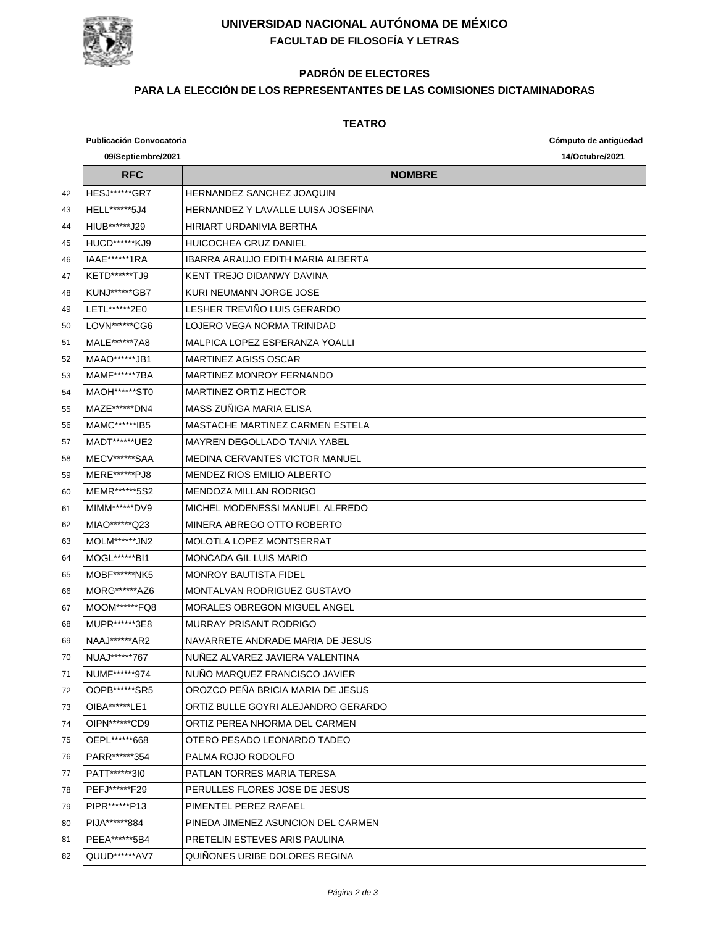

## **UNIVERSIDAD NACIONAL AUTÓNOMA DE MÉXICO FACULTAD DE FILOSOFÍA Y LETRAS**

# **PADRÓN DE ELECTORES**

### **PARA LA ELECCIÓN DE LOS REPRESENTANTES DE LAS COMISIONES DICTAMINADORAS**

#### **TEATRO**

|    | <b>Publicación Convocatoria</b> |                                          | Cómputo de antigüedad |
|----|---------------------------------|------------------------------------------|-----------------------|
|    | 09/Septiembre/2021              |                                          | 14/Octubre/2021       |
|    | <b>RFC</b>                      | <b>NOMBRE</b>                            |                       |
| 42 | <b>HESJ******GR7</b>            | <b>HERNANDEZ SANCHEZ JOAQUIN</b>         |                       |
| 43 | HELL******5J4                   | HERNANDEZ Y LAVALLE LUISA JOSEFINA       |                       |
| 44 | HIUB******J29                   | HIRIART URDANIVIA BERTHA                 |                       |
| 45 | <b>HUCD******KJ9</b>            | HUICOCHEA CRUZ DANIEL                    |                       |
| 46 | IAAE******1RA                   | <b>IBARRA ARAUJO EDITH MARIA ALBERTA</b> |                       |
| 47 | KETD*******TJ9                  | KENT TREJO DIDANWY DAVINA                |                       |
| 48 | KUNJ******GB7                   | KURI NEUMANN JORGE JOSE                  |                       |
| 49 | LETL******2E0                   | LESHER TREVIÑO LUIS GERARDO              |                       |
| 50 | LOVN******CG6                   | LOJERO VEGA NORMA TRINIDAD               |                       |
| 51 | MALE*******7A8                  | MALPICA LOPEZ ESPERANZA YOALLI           |                       |
| 52 | MAAO*******JB1                  | <b>MARTINEZ AGISS OSCAR</b>              |                       |
| 53 | MAMF******7BA                   | <b>MARTINEZ MONROY FERNANDO</b>          |                       |
| 54 | MAOH******ST0                   | <b>MARTINEZ ORTIZ HECTOR</b>             |                       |
| 55 | MAZE*******DN4                  | MASS ZUÑIGA MARIA ELISA                  |                       |
| 56 | MAMC*******IB5                  | MASTACHE MARTINEZ CARMEN ESTELA          |                       |
| 57 | MADT******UE2                   | <b>MAYREN DEGOLLADO TANIA YABEL</b>      |                       |
| 58 | MECV******SAA                   | <b>MEDINA CERVANTES VICTOR MANUEL</b>    |                       |
| 59 | MERE******PJ8                   | <b>MENDEZ RIOS EMILIO ALBERTO</b>        |                       |
| 60 | MEMR******5S2                   | <b>MENDOZA MILLAN RODRIGO</b>            |                       |
| 61 | MIMM******DV9                   | MICHEL MODENESSI MANUEL ALFREDO          |                       |
| 62 | MIAO******Q23                   | MINERA ABREGO OTTO ROBERTO               |                       |
| 63 | <b>MOLM******JN2</b>            | MOLOTLA LOPEZ MONTSERRAT                 |                       |
| 64 | MOGL*******BI1                  | <b>MONCADA GIL LUIS MARIO</b>            |                       |
| 65 | MOBF******NK5                   | <b>MONROY BAUTISTA FIDEL</b>             |                       |
| 66 | MORG******AZ6                   | MONTALVAN RODRIGUEZ GUSTAVO              |                       |
| 67 | MOOM******FQ8                   | <b>MORALES OBREGON MIGUEL ANGEL</b>      |                       |
| 68 | MUPR*******3E8                  | MURRAY PRISANT RODRIGO                   |                       |
| 69 | NAAJ ****** AR2                 | NAVARRETE ANDRADE MARIA DE JESUS         |                       |
| 70 | NUAJ ****** 767                 | NUÑEZ ALVAREZ JAVIERA VALENTINA          |                       |
| 71 | NUMF******974                   | NUNO MARQUEZ FRANCISCO JAVIER            |                       |
| 72 | OOPB******SR5                   | OROZCO PEÑA BRICIA MARIA DE JESUS        |                       |
| 73 | OIBA*******LE1                  | ORTIZ BULLE GOYRI ALEJANDRO GERARDO      |                       |
| 74 | OIPN******CD9                   | ORTIZ PEREA NHORMA DEL CARMEN            |                       |
| 75 | OEPL******668                   | OTERO PESADO LEONARDO TADEO              |                       |
| 76 | PARR******354                   | PALMA ROJO RODOLFO                       |                       |
| 77 | PATT ****** 310                 | PATLAN TORRES MARIA TERESA               |                       |
| 78 | PEFJ******F29                   | PERULLES FLORES JOSE DE JESUS            |                       |
| 79 | PIPR******P13                   | PIMENTEL PEREZ RAFAEL                    |                       |
| 80 | PIJA******884                   | PINEDA JIMENEZ ASUNCION DEL CARMEN       |                       |
| 81 | PEEA******5B4                   | PRETELIN ESTEVES ARIS PAULINA            |                       |
| 82 | QUUD******AV7                   | QUINONES URIBE DOLORES REGINA            |                       |